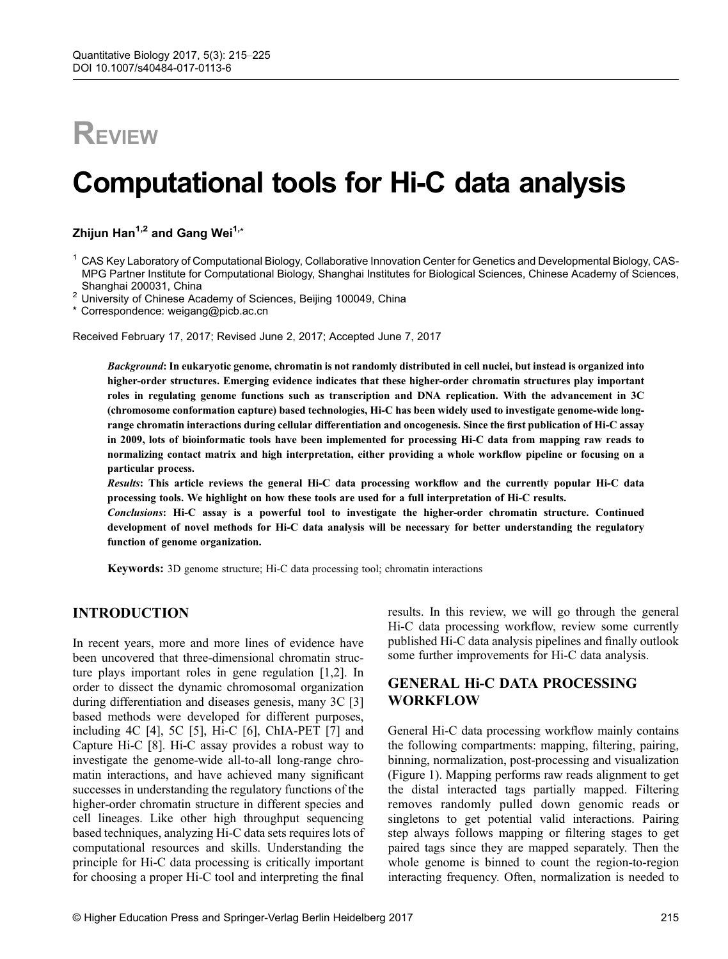# **REVIEW**

# Computational tools for Hi-C data analysis

Zhijun Han<sup>1,2</sup> and Gang Wei<sup>1,\*</sup>

<sup>1</sup> CAS Key Laboratory of Computational Biology, Collaborative Innovation Center for Genetics and Developmental Biology, CAS-MPG Partner Institute for Computational Biology, Shanghai Institutes for Biological Sciences, Chinese Academy of Sciences,

Shanghai 200031, China <sup>2</sup> University of Chinese Academy of Sciences, Beijing 100049, China

\* Correspondence: weigang@picb.ac.cn

Received February 17, 2017; Revised June 2, 2017; Accepted June 7, 2017

Background: In eukaryotic genome, chromatin is not randomly distributed in cell nuclei, but instead is organized into higher-order structures. Emerging evidence indicates that these higher-order chromatin structures play important roles in regulating genome functions such as transcription and DNA replication. With the advancement in 3C (chromosome conformation capture) based technologies, Hi-C has been widely used to investigate genome-wide longrange chromatin interactions during cellular differentiation and oncogenesis. Since the first publication of Hi-C assay in 2009, lots of bioinformatic tools have been implemented for processing Hi-C data from mapping raw reads to normalizing contact matrix and high interpretation, either providing a whole workflow pipeline or focusing on a particular process.

Results: This article reviews the general Hi-C data processing workflow and the currently popular Hi-C data processing tools. We highlight on how these tools are used for a full interpretation of Hi-C results.

Conclusions: Hi-C assay is a powerful tool to investigate the higher-order chromatin structure. Continued development of novel methods for Hi-C data analysis will be necessary for better understanding the regulatory function of genome organization.

Keywords: 3D genome structure; Hi-C data processing tool; chromatin interactions

## INTRODUCTION

In recent years, more and more lines of evidence have been uncovered that three-dimensional chromatin structure plays important roles in gene regulation [\[1](#page-9-0),[2](#page-9-0)]. In order to dissect the dynamic chromosomal organization during differentiation and diseases genesis, many 3C [\[3](#page-9-0)] based methods were developed for different purposes, including 4C [[4\]](#page-9-0), 5C [\[5](#page-9-0)], Hi-C [[6](#page-9-0)], ChIA-PET [[7\]](#page-9-0) and Capture Hi-C [\[8](#page-9-0)]. Hi-C assay provides a robust way to investigate the genome-wide all-to-all long-range chromatin interactions, and have achieved many significant successes in understanding the regulatory functions of the higher-order chromatin structure in different species and cell lineages. Like other high throughput sequencing based techniques, analyzing Hi-C data sets requires lots of computational resources and skills. Understanding the principle for Hi-C data processing is critically important for choosing a proper Hi-C tool and interpreting the final

results. In this review, we will go through the general Hi-C data processing workflow, review some currently published Hi-C data analysis pipelines and finally outlook some further improvements for Hi-C data analysis.

# GENERAL Hi-C DATA PROCESSING WORKFLOW

General Hi-C data processing workflow mainly contains the following compartments: mapping, filtering, pairing, binning, normalization, post-processing and visualization (Figure 1). Mapping performs raw reads alignment to get the distal interacted tags partially mapped. Filtering removes randomly pulled down genomic reads or singletons to get potential valid interactions. Pairing step always follows mapping or filtering stages to get paired tags since they are mapped separately. Then the whole genome is binned to count the region-to-region interacting frequency. Often, normalization is needed to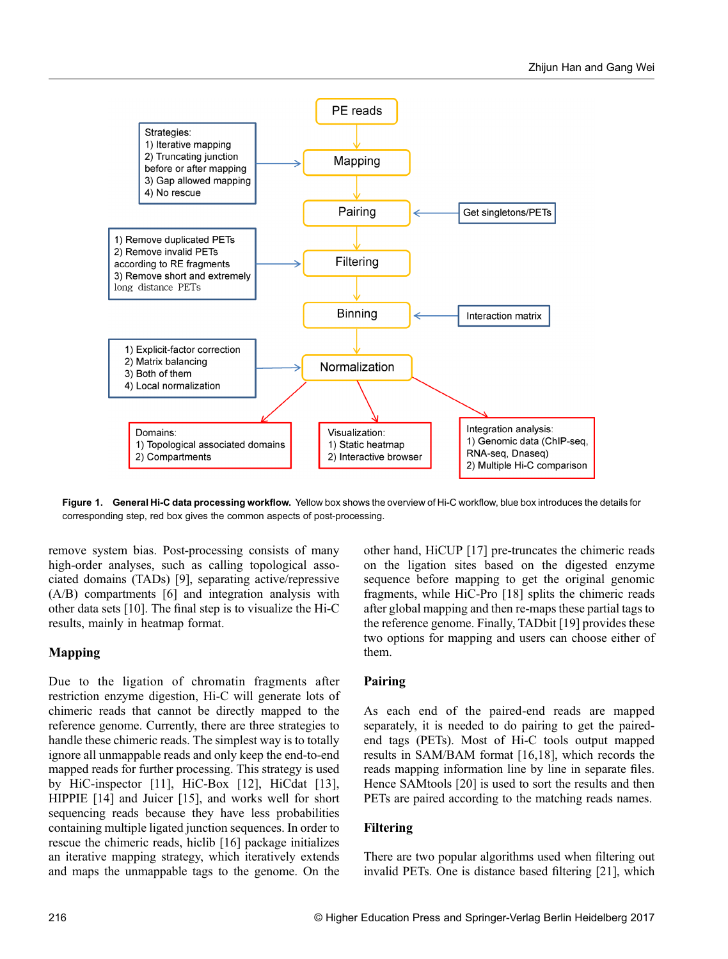

Figure 1. General Hi-C data processing workflow. Yellow box shows the overview of Hi-C workflow, blue box introduces the details for corresponding step, red box gives the common aspects of post-processing.

remove system bias. Post-processing consists of many high-order analyses, such as calling topological associated domains (TADs) [[9\]](#page-9-0), separating active/repressive (A/B) compartments [\[6\]](#page-9-0) and integration analysis with other data sets [[10](#page-9-0)]. The final step is to visualize the Hi-C results, mainly in heatmap format.

## Mapping

Due to the ligation of chromatin fragments after restriction enzyme digestion, Hi-C will generate lots of chimeric reads that cannot be directly mapped to the reference genome. Currently, there are three strategies to handle these chimeric reads. The simplest way is to totally ignore all unmappable reads and only keep the end-to-end mapped reads for further processing. This strategy is used by HiC-inspector [\[11](#page-9-0)], HiC-Box [[12](#page-9-0)], HiCdat [\[13\]](#page-9-0), HIPPIE [\[14\]](#page-9-0) and Juicer [\[15\]](#page-9-0), and works well for short sequencing reads because they have less probabilities containing multiple ligated junction sequences. In order to rescue the chimeric reads, hiclib [\[16\]](#page-9-0) package initializes an iterative mapping strategy, which iteratively extends and maps the unmappable tags to the genome. On the other hand, HiCUP [\[17\]](#page-9-0) pre-truncates the chimeric reads on the ligation sites based on the digested enzyme sequence before mapping to get the original genomic fragments, while HiC-Pro [\[18\]](#page-9-0) splits the chimeric reads after global mapping and then re-maps these partial tags to the reference genome. Finally, TADbit [[19](#page-9-0)] provides these two options for mapping and users can choose either of them.

## Pairing

As each end of the paired-end reads are mapped separately, it is needed to do pairing to get the pairedend tags (PETs). Most of Hi-C tools output mapped results in SAM/BAM format [[16,18\]](#page-9-0), which records the reads mapping information line by line in separate files. Hence SAMtools [\[20\]](#page-9-0) is used to sort the results and then PETs are paired according to the matching reads names.

## Filtering

There are two popular algorithms used when filtering out invalid PETs. One is distance based filtering [[21](#page-9-0)], which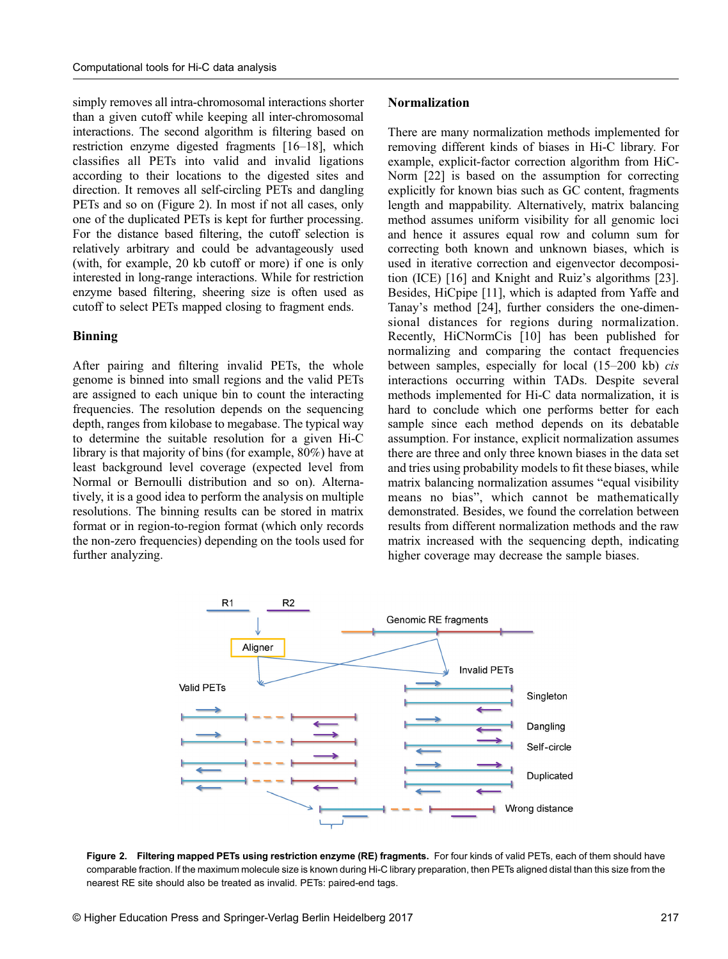simply removes all intra-chromosomal interactions shorter than a given cutoff while keeping all inter-chromosomal interactions. The second algorithm is filtering based on restriction enzyme digested fragments [[16](#page-9-0)–[18\]](#page-9-0), which classifies all PETs into valid and invalid ligations according to their locations to the digested sites and direction. It removes all self-circling PETs and dangling PETs and so on (Figure 2). In most if not all cases, only one of the duplicated PETs is kept for further processing. For the distance based filtering, the cutoff selection is relatively arbitrary and could be advantageously used (with, for example, 20 kb cutoff or more) if one is only interested in long-range interactions. While for restriction enzyme based filtering, sheering size is often used as cutoff to select PETs mapped closing to fragment ends.

#### Binning

After pairing and filtering invalid PETs, the whole genome is binned into small regions and the valid PETs are assigned to each unique bin to count the interacting frequencies. The resolution depends on the sequencing depth, ranges from kilobase to megabase. The typical way to determine the suitable resolution for a given Hi-C library is that majority of bins (for example, 80%) have at least background level coverage (expected level from Normal or Bernoulli distribution and so on). Alternatively, it is a good idea to perform the analysis on multiple resolutions. The binning results can be stored in matrix format or in region-to-region format (which only records the non-zero frequencies) depending on the tools used for further analyzing.

#### Normalization

There are many normalization methods implemented for removing different kinds of biases in Hi-C library. For example, explicit-factor correction algorithm from HiC-Norm [\[22\]](#page-9-0) is based on the assumption for correcting explicitly for known bias such as GC content, fragments length and mappability. Alternatively, matrix balancing method assumes uniform visibility for all genomic loci and hence it assures equal row and column sum for correcting both known and unknown biases, which is used in iterative correction and eigenvector decomposition (ICE) [\[16\]](#page-9-0) and Knight and Ruiz's algorithms [\[23\]](#page-9-0). Besides, HiCpipe [[11\]](#page-9-0), which is adapted from Yaffe and Tanay's method [[24](#page-9-0)], further considers the one-dimensional distances for regions during normalization. Recently, HiCNormCis [[10](#page-9-0)] has been published for normalizing and comparing the contact frequencies between samples, especially for local (15–200 kb) cis interactions occurring within TADs. Despite several methods implemented for Hi-C data normalization, it is hard to conclude which one performs better for each sample since each method depends on its debatable assumption. For instance, explicit normalization assumes there are three and only three known biases in the data set and tries using probability models to fit these biases, while matrix balancing normalization assumes "equal visibility means no bias", which cannot be mathematically demonstrated. Besides, we found the correlation between results from different normalization methods and the raw matrix increased with the sequencing depth, indicating higher coverage may decrease the sample biases.



Figure 2. Filtering mapped PETs using restriction enzyme (RE) fragments. For four kinds of valid PETs, each of them should have comparable fraction. If the maximum molecule size is known during Hi-C library preparation, then PETs aligned distal than this size from the nearest RE site should also be treated as invalid. PETs: paired-end tags.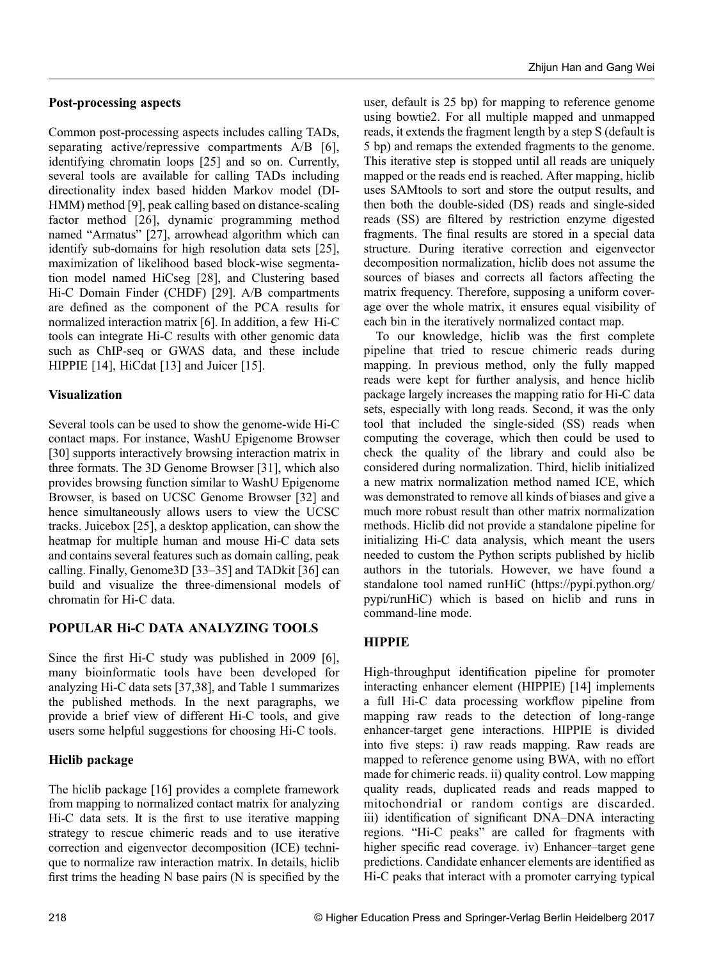## Post-processing aspects

Common post-processing aspects includes calling TADs, separating active/repressive compartments A/B [[6\]](#page-9-0), identifying chromatin loops [[25](#page-9-0)] and so on. Currently, several tools are available for calling TADs including directionality index based hidden Markov model (DI-HMM) method [[9](#page-9-0)], peak calling based on distance-scaling factor method [[26](#page-9-0)], dynamic programming method named "Armatus" [[27](#page-10-0)], arrowhead algorithm which can identify sub-domains for high resolution data sets [\[25\]](#page-9-0), maximization of likelihood based block-wise segmentation model named HiCseg [\[28\]](#page-10-0), and Clustering based Hi-C Domain Finder (CHDF) [[29](#page-10-0)]. A/B compartments are defined as the component of the PCA results for normalized interaction matrix [\[6](#page-9-0)]. In addition, a few Hi-C tools can integrate Hi-C results with other genomic data such as ChIP-seq or GWAS data, and these include HIPPIE [\[14\]](#page-9-0), HiCdat [\[13\]](#page-9-0) and Juicer [[15](#page-9-0)].

## Visualization

Several tools can be used to show the genome-wide Hi-C contact maps. For instance, WashU Epigenome Browser [\[30\]](#page-10-0) supports interactively browsing interaction matrix in three formats. The 3D Genome Browser [[31](#page-10-0)], which also provides browsing function similar to WashU Epigenome Browser, is based on UCSC Genome Browser [\[32\]](#page-10-0) and hence simultaneously allows users to view the UCSC tracks. Juicebox [\[25\]](#page-9-0), a desktop application, can show the heatmap for multiple human and mouse Hi-C data sets and contains several features such as domain calling, peak calling. Finally, Genome3D [\[33](#page-10-0)–[35](#page-10-0)] and TADkit [\[36\]](#page-10-0) can build and visualize the three-dimensional models of chromatin for Hi-C data.

# POPULAR Hi-C DATA ANALYZING TOOLS

Since the first Hi-C study was published in 2009 [[6\]](#page-9-0), many bioinformatic tools have been developed for analyzing Hi-C data sets [\[37,38\]](#page-10-0), and Table 1 summarizes the published methods. In the next paragraphs, we provide a brief view of different Hi-C tools, and give users some helpful suggestions for choosing Hi-C tools.

# Hiclib package

The hiclib package [[16](#page-9-0)] provides a complete framework from mapping to normalized contact matrix for analyzing Hi-C data sets. It is the first to use iterative mapping strategy to rescue chimeric reads and to use iterative correction and eigenvector decomposition (ICE) technique to normalize raw interaction matrix. In details, hiclib first trims the heading N base pairs (N is specified by the user, default is 25 bp) for mapping to reference genome using bowtie2. For all multiple mapped and unmapped reads, it extends the fragment length by a step S (default is 5 bp) and remaps the extended fragments to the genome. This iterative step is stopped until all reads are uniquely mapped or the reads end is reached. After mapping, hiclib uses SAMtools to sort and store the output results, and then both the double-sided (DS) reads and single-sided reads (SS) are filtered by restriction enzyme digested fragments. The final results are stored in a special data structure. During iterative correction and eigenvector decomposition normalization, hiclib does not assume the sources of biases and corrects all factors affecting the matrix frequency. Therefore, supposing a uniform coverage over the whole matrix, it ensures equal visibility of each bin in the iteratively normalized contact map.

To our knowledge, hiclib was the first complete pipeline that tried to rescue chimeric reads during mapping. In previous method, only the fully mapped reads were kept for further analysis, and hence hiclib package largely increases the mapping ratio for Hi-C data sets, especially with long reads. Second, it was the only tool that included the single-sided (SS) reads when computing the coverage, which then could be used to check the quality of the library and could also be considered during normalization. Third, hiclib initialized a new matrix normalization method named ICE, which was demonstrated to remove all kinds of biases and give a much more robust result than other matrix normalization methods. Hiclib did not provide a standalone pipeline for initializing Hi-C data analysis, which meant the users needed to custom the Python scripts published by hiclib authors in the tutorials. However, we have found a standalone tool named runHiC (https://pypi.python.org/ pypi/runHiC) which is based on hiclib and runs in command-line mode.

# **HIPPIE**

High-throughput identification pipeline for promoter interacting enhancer element (HIPPIE) [[14](#page-9-0)] implements a full Hi-C data processing workflow pipeline from mapping raw reads to the detection of long-range enhancer-target gene interactions. HIPPIE is divided into five steps: i) raw reads mapping. Raw reads are mapped to reference genome using BWA, with no effort made for chimeric reads. ii) quality control. Low mapping quality reads, duplicated reads and reads mapped to mitochondrial or random contigs are discarded. iii) identification of significant DNA–DNA interacting regions. "Hi-C peaks" are called for fragments with higher specific read coverage. iv) Enhancer–target gene predictions. Candidate enhancer elements are identified as Hi-C peaks that interact with a promoter carrying typical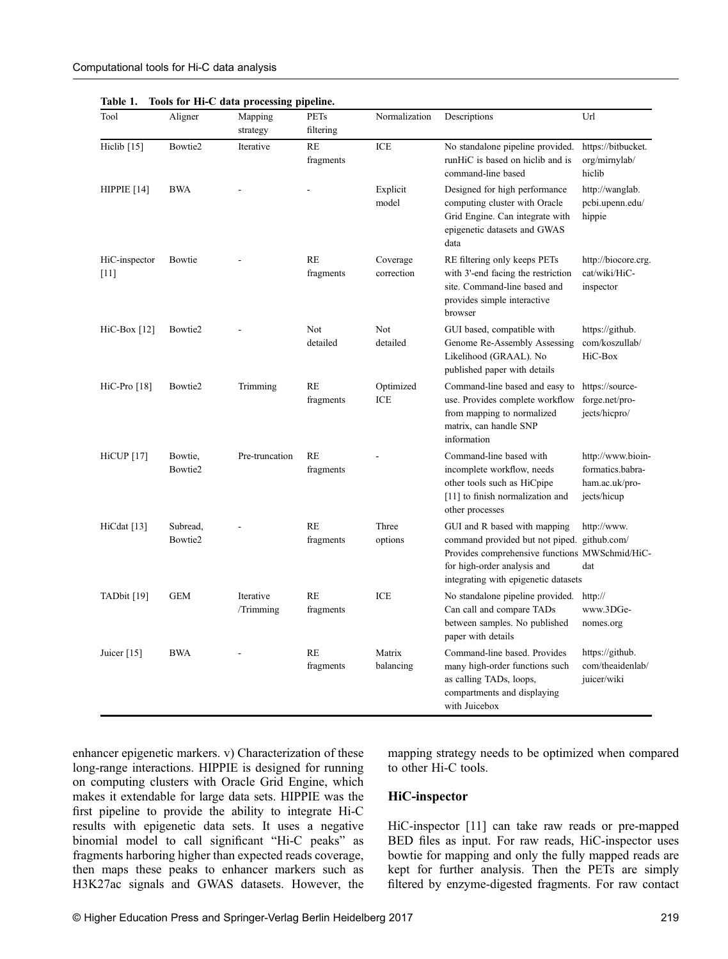| Tool                    | Aligner             | Mapping<br>strategy    | <b>PETs</b><br>filtering | Normalization          | Descriptions                                                                                                                                                                                         | Url                                                                    |
|-------------------------|---------------------|------------------------|--------------------------|------------------------|------------------------------------------------------------------------------------------------------------------------------------------------------------------------------------------------------|------------------------------------------------------------------------|
| Hiclib [15]             | Bowtie2             | Iterative              | <b>RE</b><br>fragments   | ICE                    | No standalone pipeline provided.<br>runHiC is based on hiclib and is<br>command-line based                                                                                                           | https://bitbucket.<br>org/mirnylab/<br>hiclib                          |
| HIPPIE $[14]$           | <b>BWA</b>          |                        |                          | Explicit<br>model      | Designed for high performance<br>computing cluster with Oracle<br>Grid Engine. Can integrate with<br>epigenetic datasets and GWAS<br>data                                                            | http://wanglab.<br>pcbi.upenn.edu/<br>hippie                           |
| HiC-inspector<br>$[11]$ | Bowtie              |                        | <b>RE</b><br>fragments   | Coverage<br>correction | RE filtering only keeps PETs<br>with 3'-end facing the restriction<br>site. Command-line based and<br>provides simple interactive<br>browser                                                         | http://biocore.crg.<br>cat/wiki/HiC-<br>inspector                      |
| $HiC-Box [12]$          | Bowtie2             |                        | <b>Not</b><br>detailed   | Not<br>detailed        | GUI based, compatible with<br>Genome Re-Assembly Assessing<br>Likelihood (GRAAL). No<br>published paper with details                                                                                 | https://github.<br>com/koszullab/<br>HiC-Box                           |
| $HiC-Pro [18]$          | Bowtie2             | Trimming               | <b>RE</b><br>fragments   | Optimized<br>ICE       | Command-line based and easy to<br>use. Provides complete workflow<br>from mapping to normalized<br>matrix, can handle SNP<br>information                                                             | https://source-<br>forge.net/pro-<br>jects/hicpro/                     |
| <b>HiCUP</b> [17]       | Bowtie,<br>Bowtie2  | Pre-truncation         | <b>RE</b><br>fragments   |                        | Command-line based with<br>incomplete workflow, needs<br>other tools such as HiCpipe<br>[11] to finish normalization and<br>other processes                                                          | http://www.bioin-<br>formatics.babra-<br>ham.ac.uk/pro-<br>jects/hicup |
| HiCdat $[13]$           | Subread.<br>Bowtie2 |                        | <b>RE</b><br>fragments   | Three<br>options       | GUI and R based with mapping<br>command provided but not piped. github.com/<br>Provides comprehensive functions MWSchmid/HiC-<br>for high-order analysis and<br>integrating with epigenetic datasets | http://www.<br>dat                                                     |
| TADbit [19]             | <b>GEM</b>          | Iterative<br>/Trimming | <b>RE</b><br>fragments   | ICE                    | No standalone pipeline provided.<br>Can call and compare TADs<br>between samples. No published<br>paper with details                                                                                 | http://<br>www.3DGe-<br>nomes.org                                      |
| Juicer $[15]$           | <b>BWA</b>          |                        | RE<br>fragments          | Matrix<br>balancing    | Command-line based. Provides<br>many high-order functions such<br>as calling TADs, loops,<br>compartments and displaying<br>with Juicebox                                                            | https://github.<br>com/theaidenlab/<br>juicer/wiki                     |

Table 1. Tools for Hi-C data processing pipeline.

enhancer epigenetic markers. v) Characterization of these long-range interactions. HIPPIE is designed for running on computing clusters with Oracle Grid Engine, which makes it extendable for large data sets. HIPPIE was the first pipeline to provide the ability to integrate Hi-C results with epigenetic data sets. It uses a negative binomial model to call significant "Hi-C peaks" as fragments harboring higher than expected reads coverage, then maps these peaks to enhancer markers such as H3K27ac signals and GWAS datasets. However, the

mapping strategy needs to be optimized when compared to other Hi-C tools.

#### HiC-inspector

HiC-inspector [[11\]](#page-9-0) can take raw reads or pre-mapped BED files as input. For raw reads, HiC-inspector uses bowtie for mapping and only the fully mapped reads are kept for further analysis. Then the PETs are simply filtered by enzyme-digested fragments. For raw contact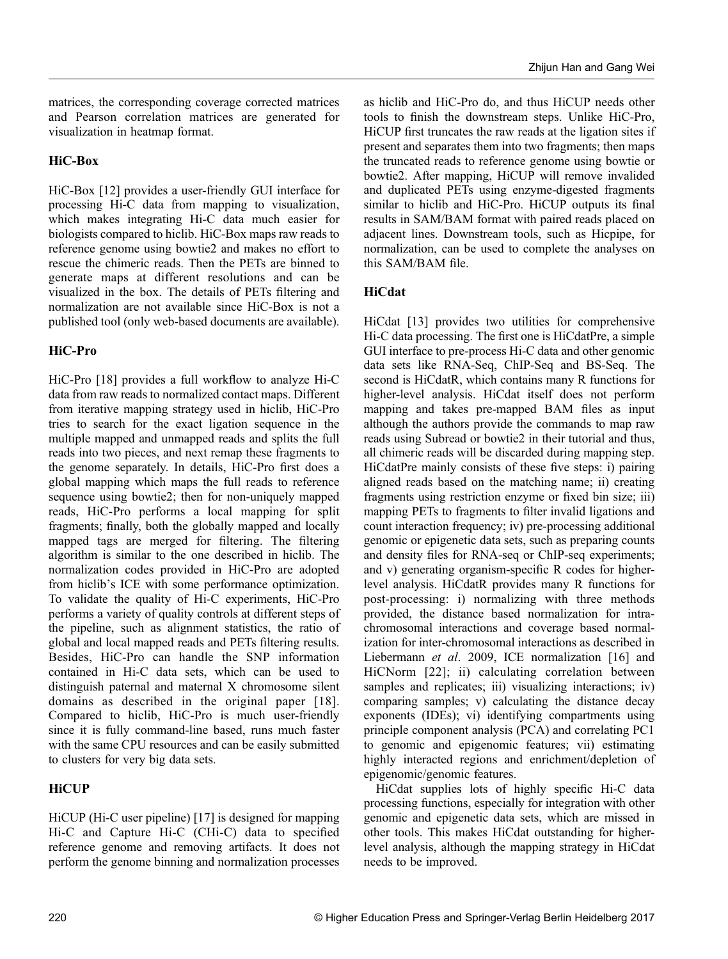matrices, the corresponding coverage corrected matrices and Pearson correlation matrices are generated for visualization in heatmap format.

## HiC-Box

HiC-Box [\[12\]](#page-9-0) provides a user-friendly GUI interface for processing Hi-C data from mapping to visualization, which makes integrating Hi-C data much easier for biologists compared to hiclib. HiC-Box maps raw reads to reference genome using bowtie2 and makes no effort to rescue the chimeric reads. Then the PETs are binned to generate maps at different resolutions and can be visualized in the box. The details of PETs filtering and normalization are not available since HiC-Box is not a published tool (only web-based documents are available).

## HiC-Pro

HiC-Pro [\[18](#page-9-0)] provides a full workflow to analyze Hi-C data from raw reads to normalized contact maps. Different from iterative mapping strategy used in hiclib, HiC-Pro tries to search for the exact ligation sequence in the multiple mapped and unmapped reads and splits the full reads into two pieces, and next remap these fragments to the genome separately. In details, HiC-Pro first does a global mapping which maps the full reads to reference sequence using bowtie2; then for non-uniquely mapped reads, HiC-Pro performs a local mapping for split fragments; finally, both the globally mapped and locally mapped tags are merged for filtering. The filtering algorithm is similar to the one described in hiclib. The normalization codes provided in HiC-Pro are adopted from hiclib's ICE with some performance optimization. To validate the quality of Hi-C experiments, HiC-Pro performs a variety of quality controls at different steps of the pipeline, such as alignment statistics, the ratio of global and local mapped reads and PETs filtering results. Besides, HiC-Pro can handle the SNP information contained in Hi-C data sets, which can be used to distinguish paternal and maternal X chromosome silent domains as described in the original paper [[18\]](#page-9-0). Compared to hiclib, HiC-Pro is much user-friendly since it is fully command-line based, runs much faster with the same CPU resources and can be easily submitted to clusters for very big data sets.

## **HiCUP**

HiCUP (Hi-C user pipeline) [[17](#page-9-0)] is designed for mapping Hi-C and Capture Hi-C (CHi-C) data to specified reference genome and removing artifacts. It does not perform the genome binning and normalization processes as hiclib and HiC-Pro do, and thus HiCUP needs other tools to finish the downstream steps. Unlike HiC-Pro, HiCUP first truncates the raw reads at the ligation sites if present and separates them into two fragments; then maps the truncated reads to reference genome using bowtie or bowtie2. After mapping, HiCUP will remove invalided and duplicated PETs using enzyme-digested fragments similar to hiclib and HiC-Pro. HiCUP outputs its final results in SAM/BAM format with paired reads placed on adjacent lines. Downstream tools, such as Hicpipe, for normalization, can be used to complete the analyses on this SAM/BAM file.

## HiCdat

HiCdat [[13](#page-9-0)] provides two utilities for comprehensive Hi-C data processing. The first one is HiCdatPre, a simple GUI interface to pre-process Hi-C data and other genomic data sets like RNA-Seq, ChIP-Seq and BS-Seq. The second is HiCdatR, which contains many R functions for higher-level analysis. HiCdat itself does not perform mapping and takes pre-mapped BAM files as input although the authors provide the commands to map raw reads using Subread or bowtie2 in their tutorial and thus, all chimeric reads will be discarded during mapping step. HiCdatPre mainly consists of these five steps: i) pairing aligned reads based on the matching name; ii) creating fragments using restriction enzyme or fixed bin size; iii) mapping PETs to fragments to filter invalid ligations and count interaction frequency; iv) pre-processing additional genomic or epigenetic data sets, such as preparing counts and density files for RNA-seq or ChIP-seq experiments; and v) generating organism-specific R codes for higherlevel analysis. HiCdatR provides many R functions for post-processing: i) normalizing with three methods provided, the distance based normalization for intrachromosomal interactions and coverage based normalization for inter-chromosomal interactions as described in Liebermann et al. 2009, ICE normalization [\[16\]](#page-9-0) and HiCNorm [[22\]](#page-9-0); ii) calculating correlation between samples and replicates; iii) visualizing interactions; iv) comparing samples; v) calculating the distance decay exponents (IDEs); vi) identifying compartments using principle component analysis (PCA) and correlating PC1 to genomic and epigenomic features; vii) estimating highly interacted regions and enrichment/depletion of epigenomic/genomic features.

HiCdat supplies lots of highly specific Hi-C data processing functions, especially for integration with other genomic and epigenetic data sets, which are missed in other tools. This makes HiCdat outstanding for higherlevel analysis, although the mapping strategy in HiCdat needs to be improved.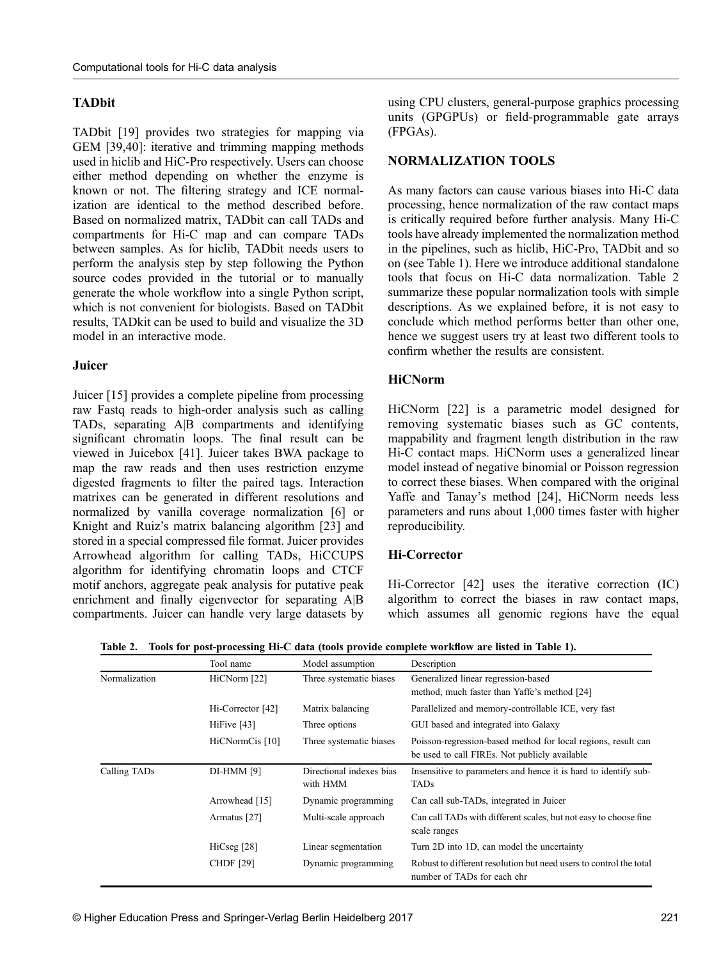## TADbit

TADbit [[19](#page-9-0)] provides two strategies for mapping via GEM [[39](#page-10-0),[40](#page-10-0)]: iterative and trimming mapping methods used in hiclib and HiC-Pro respectively. Users can choose either method depending on whether the enzyme is known or not. The filtering strategy and ICE normalization are identical to the method described before. Based on normalized matrix, TADbit can call TADs and compartments for Hi-C map and can compare TADs between samples. As for hiclib, TADbit needs users to perform the analysis step by step following the Python source codes provided in the tutorial or to manually generate the whole workflow into a single Python script, which is not convenient for biologists. Based on TADbit results, TADkit can be used to build and visualize the 3D model in an interactive mode.

#### Juicer

Juicer [\[15\]](#page-9-0) provides a complete pipeline from processing raw Fastq reads to high-order analysis such as calling TADs, separating A|B compartments and identifying significant chromatin loops. The final result can be viewed in Juicebox [[41](#page-10-0)]. Juicer takes BWA package to map the raw reads and then uses restriction enzyme digested fragments to filter the paired tags. Interaction matrixes can be generated in different resolutions and normalized by vanilla coverage normalization [\[6](#page-9-0)] or Knight and Ruiz's matrix balancing algorithm [[23](#page-9-0)] and stored in a special compressed file format. Juicer provides Arrowhead algorithm for calling TADs, HiCCUPS algorithm for identifying chromatin loops and CTCF motif anchors, aggregate peak analysis for putative peak enrichment and finally eigenvector for separating A|B compartments. Juicer can handle very large datasets by

using CPU clusters, general-purpose graphics processing units (GPGPUs) or field-programmable gate arrays (FPGAs).

#### NORMALIZATION TOOLS

As many factors can cause various biases into Hi-C data processing, hence normalization of the raw contact maps is critically required before further analysis. Many Hi-C tools have already implemented the normalization method in the pipelines, such as hiclib, HiC-Pro, TADbit and so on (see Table 1). Here we introduce additional standalone tools that focus on Hi-C data normalization. Table 2 summarize these popular normalization tools with simple descriptions. As we explained before, it is not easy to conclude which method performs better than other one, hence we suggest users try at least two different tools to confirm whether the results are consistent.

#### **HiCNorm**

HiCNorm [[22](#page-9-0)] is a parametric model designed for removing systematic biases such as GC contents, mappability and fragment length distribution in the raw Hi-C contact maps. HiCNorm uses a generalized linear model instead of negative binomial or Poisson regression to correct these biases. When compared with the original Yaffe and Tanay's method [[24](#page-9-0)], HiCNorm needs less parameters and runs about 1,000 times faster with higher reproducibility.

#### Hi-Corrector

Hi-Corrector [[42\]](#page-10-0) uses the iterative correction (IC) algorithm to correct the biases in raw contact maps, which assumes all genomic regions have the equal

|               | Tool name         | Model assumption                     | Description                                                                                                    |
|---------------|-------------------|--------------------------------------|----------------------------------------------------------------------------------------------------------------|
| Normalization | HiCNorm [22]      | Three systematic biases              | Generalized linear regression-based<br>method, much faster than Yaffe's method [24]                            |
|               | Hi-Corrector [42] | Matrix balancing                     | Parallelized and memory-controllable ICE, very fast                                                            |
|               | HiFive [43]       | Three options                        | GUI based and integrated into Galaxy                                                                           |
|               | HiCNormCis [10]   | Three systematic biases              | Poisson-regression-based method for local regions, result can<br>be used to call FIREs. Not publicly available |
| Calling TADs  | DI-HMM [9]        | Directional indexes bias<br>with HMM | Insensitive to parameters and hence it is hard to identify sub-<br><b>TADs</b>                                 |
|               | Arrowhead [15]    | Dynamic programming                  | Can call sub-TADs, integrated in Juicer                                                                        |
|               | Armatus [27]      | Multi-scale approach                 | Can call TADs with different scales, but not easy to choose fine<br>scale ranges                               |
|               | HiCseg [28]       | Linear segmentation                  | Turn 2D into 1D, can model the uncertainty                                                                     |
|               | <b>CHDF</b> [29]  | Dynamic programming                  | Robust to different resolution but need users to control the total<br>number of TADs for each chr              |

Table 2. Tools for post-processing Hi-C data (tools provide complete workflow are listed in Table 1).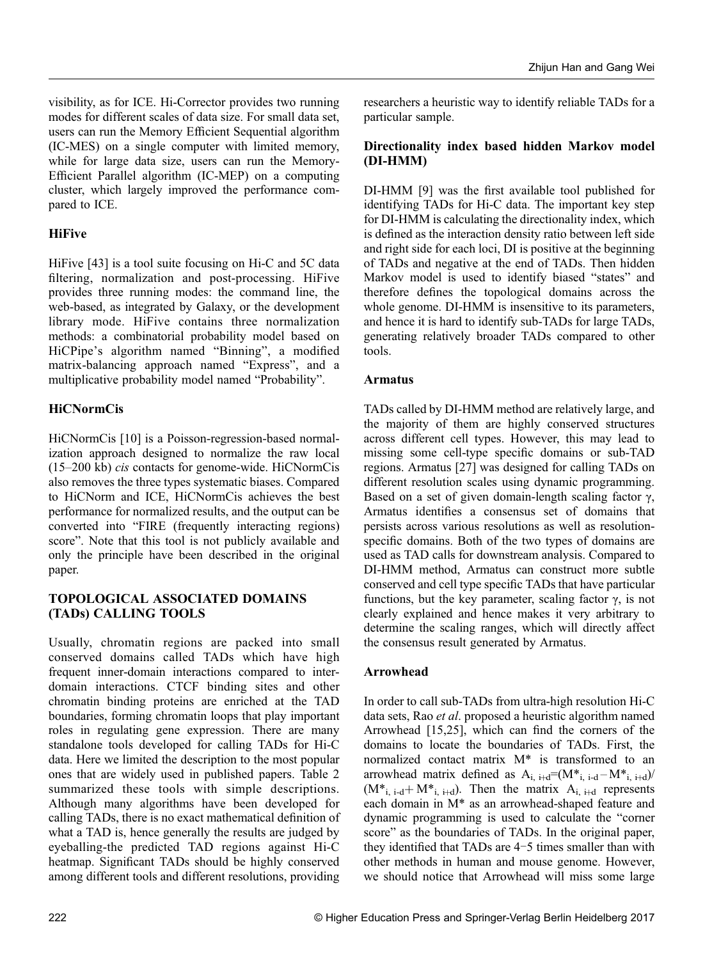visibility, as for ICE. Hi-Corrector provides two running modes for different scales of data size. For small data set, users can run the Memory Efficient Sequential algorithm (IC-MES) on a single computer with limited memory, while for large data size, users can run the Memory-Efficient Parallel algorithm (IC-MEP) on a computing cluster, which largely improved the performance compared to ICE.

# **HiFive**

HiFive [[43](#page-10-0)] is a tool suite focusing on Hi-C and 5C data filtering, normalization and post-processing. HiFive provides three running modes: the command line, the web-based, as integrated by Galaxy, or the development library mode. HiFive contains three normalization methods: a combinatorial probability model based on HiCPipe's algorithm named "Binning", a modified matrix-balancing approach named "Express", and a multiplicative probability model named "Probability".

# **HiCNormCis**

HiCNormCis [[10](#page-9-0)] is a Poisson-regression-based normalization approach designed to normalize the raw local (15–200 kb) cis contacts for genome-wide. HiCNormCis also removes the three types systematic biases. Compared to HiCNorm and ICE, HiCNormCis achieves the best performance for normalized results, and the output can be converted into "FIRE (frequently interacting regions) score". Note that this tool is not publicly available and only the principle have been described in the original paper.

## TOPOLOGICAL ASSOCIATED DOMAINS (TADs) CALLING TOOLS

Usually, chromatin regions are packed into small conserved domains called TADs which have high frequent inner-domain interactions compared to interdomain interactions. CTCF binding sites and other chromatin binding proteins are enriched at the TAD boundaries, forming chromatin loops that play important roles in regulating gene expression. There are many standalone tools developed for calling TADs for Hi-C data. Here we limited the description to the most popular ones that are widely used in published papers. Table 2 summarized these tools with simple descriptions. Although many algorithms have been developed for calling TADs, there is no exact mathematical definition of what a TAD is, hence generally the results are judged by eyeballing-the predicted TAD regions against Hi-C heatmap. Significant TADs should be highly conserved among different tools and different resolutions, providing

researchers a heuristic way to identify reliable TADs for a particular sample.

## Directionality index based hidden Markov model (DI-HMM)

DI-HMM [[9\]](#page-9-0) was the first available tool published for identifying TADs for Hi-C data. The important key step for DI-HMM is calculating the directionality index, which is defined as the interaction density ratio between left side and right side for each loci, DI is positive at the beginning of TADs and negative at the end of TADs. Then hidden Markov model is used to identify biased "states" and therefore defines the topological domains across the whole genome. DI-HMM is insensitive to its parameters, and hence it is hard to identify sub-TADs for large TADs, generating relatively broader TADs compared to other tools.

## Armatus

TADs called by DI-HMM method are relatively large, and the majority of them are highly conserved structures across different cell types. However, this may lead to missing some cell-type specific domains or sub-TAD regions. Armatus [[27](#page-10-0)] was designed for calling TADs on different resolution scales using dynamic programming. Based on a set of given domain-length scaling factor  $\gamma$ , Armatus identifies a consensus set of domains that persists across various resolutions as well as resolutionspecific domains. Both of the two types of domains are used as TAD calls for downstream analysis. Compared to DI-HMM method, Armatus can construct more subtle conserved and cell type specific TADs that have particular functions, but the key parameter, scaling factor  $\gamma$ , is not clearly explained and hence makes it very arbitrary to determine the scaling ranges, which will directly affect the consensus result generated by Armatus.

## Arrowhead

In order to call sub-TADs from ultra-high resolution Hi-C data sets, Rao et al. proposed a heuristic algorithm named Arrowhead [\[15,25\]](#page-9-0), which can find the corners of the domains to locate the boundaries of TADs. First, the normalized contact matrix M\* is transformed to an arrowhead matrix defined as  $A_{i, i+d} = (M^*_{i, i-d} - M^*_{i, i+d})/$  $(M^*_{i, i-d}+M^*_{i, i+d})$ . Then the matrix  $A_{i, i+d}$  represents each domain in M\* as an arrowhead-shaped feature and dynamic programming is used to calculate the "corner score" as the boundaries of TADs. In the original paper, they identified that TADs are 4–5 times smaller than with other methods in human and mouse genome. However, we should notice that Arrowhead will miss some large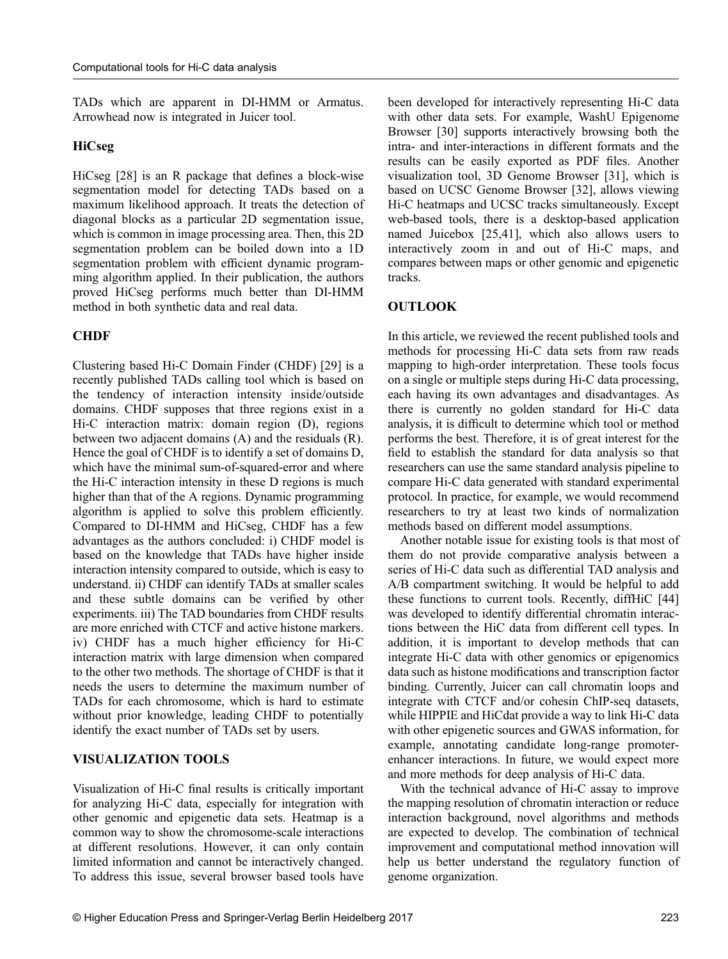TADs which are apparent in DI-HMM or Armatus. Arrowhead now is integrated in Juicer tool.

#### HiCseg

HiCseg [\[28\]](#page-10-0) is an R package that defines a block-wise segmentation model for detecting TADs based on a maximum likelihood approach. It treats the detection of diagonal blocks as a particular 2D segmentation issue, which is common in image processing area. Then, this 2D segmentation problem can be boiled down into a 1D segmentation problem with efficient dynamic programming algorithm applied. In their publication, the authors proved HiCseg performs much better than DI-HMM method in both synthetic data and real data.

#### **CHDF**

Clustering based Hi-C Domain Finder (CHDF) [[29](#page-10-0)] is a recently published TADs calling tool which is based on the tendency of interaction intensity inside/outside domains. CHDF supposes that three regions exist in a Hi-C interaction matrix: domain region (D), regions between two adjacent domains (A) and the residuals (R). Hence the goal of CHDF is to identify a set of domains D, which have the minimal sum-of-squared-error and where the Hi-C interaction intensity in these D regions is much higher than that of the A regions. Dynamic programming algorithm is applied to solve this problem efficiently. Compared to DI-HMM and HiCseg, CHDF has a few advantages as the authors concluded: i) CHDF model is based on the knowledge that TADs have higher inside interaction intensity compared to outside, which is easy to understand. ii) CHDF can identify TADs at smaller scales and these subtle domains can be verified by other experiments. iii) The TAD boundaries from CHDF results are more enriched with CTCF and active histone markers. iv) CHDF has a much higher efficiency for Hi-C interaction matrix with large dimension when compared to the other two methods. The shortage of CHDF is that it needs the users to determine the maximum number of TADs for each chromosome, which is hard to estimate without prior knowledge, leading CHDF to potentially identify the exact number of TADs set by users.

#### VISUALIZATION TOOLS

Visualization of Hi-C final results is critically important for analyzing Hi-C data, especially for integration with other genomic and epigenetic data sets. Heatmap is a common way to show the chromosome-scale interactions at different resolutions. However, it can only contain limited information and cannot be interactively changed. To address this issue, several browser based tools have

been developed for interactively representing Hi-C data with other data sets. For example, WashU Epigenome Browser [[30](#page-10-0)] supports interactively browsing both the intra- and inter-interactions in different formats and the results can be easily exported as PDF files. Another visualization tool, 3D Genome Browser [[31](#page-10-0)], which is based on UCSC Genome Browser [\[32\]](#page-10-0), allows viewing Hi-C heatmaps and UCSC tracks simultaneously. Except web-based tools, there is a desktop-based application named Juicebox [[25,](#page-9-0)[41](#page-10-0)], which also allows users to interactively zoom in and out of Hi-C maps, and compares between maps or other genomic and epigenetic tracks.

## **OUTLOOK**

In this article, we reviewed the recent published tools and methods for processing Hi-C data sets from raw reads mapping to high-order interpretation. These tools focus on a single or multiple steps during Hi-C data processing, each having its own advantages and disadvantages. As there is currently no golden standard for Hi-C data analysis, it is difficult to determine which tool or method performs the best. Therefore, it is of great interest for the field to establish the standard for data analysis so that researchers can use the same standard analysis pipeline to compare Hi-C data generated with standard experimental protocol. In practice, for example, we would recommend researchers to try at least two kinds of normalization methods based on different model assumptions.

Another notable issue for existing tools is that most of them do not provide comparative analysis between a series of Hi-C data such as differential TAD analysis and A/B compartment switching. It would be helpful to add these functions to current tools. Recently, diffHiC [[44](#page-10-0)] was developed to identify differential chromatin interactions between the HiC data from different cell types. In addition, it is important to develop methods that can integrate Hi-C data with other genomics or epigenomics data such as histone modifications and transcription factor binding. Currently, Juicer can call chromatin loops and integrate with CTCF and/or cohesin ChIP-seq datasets, while HIPPIE and HiCdat provide a way to link Hi-C data with other epigenetic sources and GWAS information, for example, annotating candidate long-range promoterenhancer interactions. In future, we would expect more and more methods for deep analysis of Hi-C data.

With the technical advance of Hi-C assay to improve the mapping resolution of chromatin interaction or reduce interaction background, novel algorithms and methods are expected to develop. The combination of technical improvement and computational method innovation will help us better understand the regulatory function of genome organization.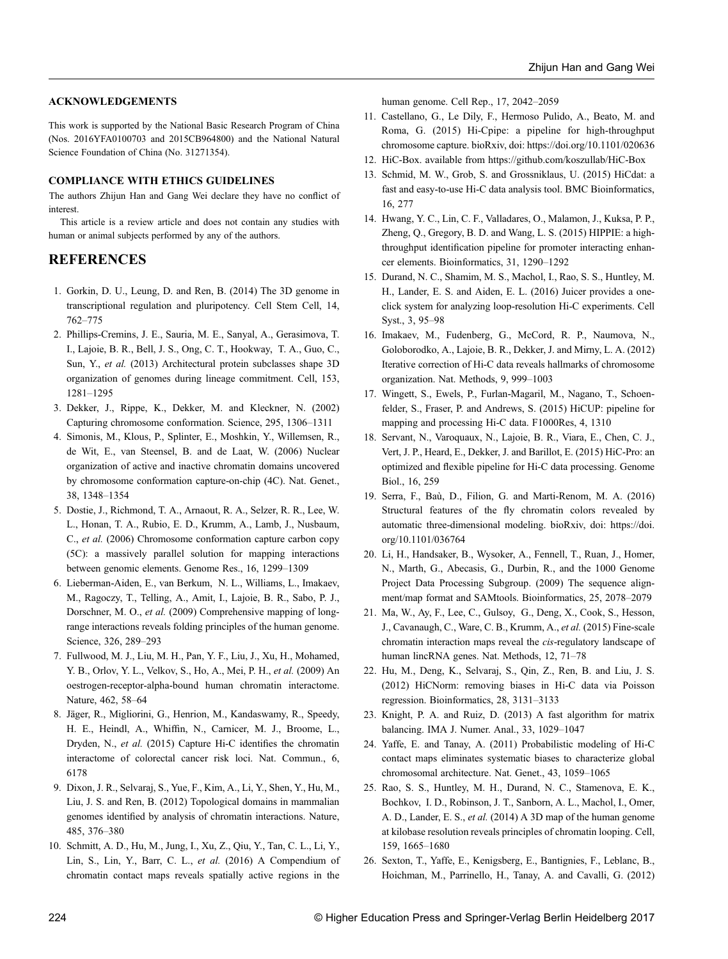#### <span id="page-9-0"></span>ACKNOWLEDGEMENTS

This work is supported by the National Basic Research Program of China (Nos. 2016YFA0100703 and 2015CB964800) and the National Natural Science Foundation of China (No. 31271354).

#### COMPLIANCE WITH ETHICS GUIDELINES

The authors Zhijun Han and Gang Wei declare they have no conflict of interest.

This article is a review article and does not contain any studies with human or animal subjects performed by any of the authors.

## REFERENCES

- 1. Gorkin, D. U., Leung, D. and Ren, B. (2014) The 3D genome in transcriptional regulation and pluripotency. Cell Stem Cell, 14, 762–775
- 2. Phillips-Cremins, J. E., Sauria, M. E., Sanyal, A., Gerasimova, T. I., Lajoie, B. R., Bell, J. S., Ong, C. T., Hookway, T. A., Guo, C., Sun, Y., et al. (2013) Architectural protein subclasses shape 3D organization of genomes during lineage commitment. Cell, 153, 1281–1295
- 3. Dekker, J., Rippe, K., Dekker, M. and Kleckner, N. (2002) Capturing chromosome conformation. Science, 295, 1306–1311
- 4. Simonis, M., Klous, P., Splinter, E., Moshkin, Y., Willemsen, R., de Wit, E., van Steensel, B. and de Laat, W. (2006) Nuclear organization of active and inactive chromatin domains uncovered by chromosome conformation capture-on-chip (4C). Nat. Genet., 38, 1348–1354
- 5. Dostie, J., Richmond, T. A., Arnaout, R. A., Selzer, R. R., Lee, W. L., Honan, T. A., Rubio, E. D., Krumm, A., Lamb, J., Nusbaum, C., et al. (2006) Chromosome conformation capture carbon copy (5C): a massively parallel solution for mapping interactions between genomic elements. Genome Res., 16, 1299–1309
- 6. Lieberman-Aiden, E., van Berkum, N. L., Williams, L., Imakaev, M., Ragoczy, T., Telling, A., Amit, I., Lajoie, B. R., Sabo, P. J., Dorschner, M. O., et al. (2009) Comprehensive mapping of longrange interactions reveals folding principles of the human genome. Science, 326, 289–293
- 7. Fullwood, M. J., Liu, M. H., Pan, Y. F., Liu, J., Xu, H., Mohamed, Y. B., Orlov, Y. L., Velkov, S., Ho, A., Mei, P. H., et al. (2009) An oestrogen-receptor-alpha-bound human chromatin interactome. Nature, 462, 58–64
- 8. Jäger, R., Migliorini, G., Henrion, M., Kandaswamy, R., Speedy, H. E., Heindl, A., Whiffin, N., Carnicer, M. J., Broome, L., Dryden, N., et al. (2015) Capture Hi-C identifies the chromatin interactome of colorectal cancer risk loci. Nat. Commun., 6, 6178
- 9. Dixon, J. R., Selvaraj, S., Yue, F., Kim, A., Li, Y., Shen, Y., Hu, M., Liu, J. S. and Ren, B. (2012) Topological domains in mammalian genomes identified by analysis of chromatin interactions. Nature, 485, 376–380
- 10. Schmitt, A. D., Hu, M., Jung, I., Xu, Z., Qiu, Y., Tan, C. L., Li, Y., Lin, S., Lin, Y., Barr, C. L., et al. (2016) A Compendium of chromatin contact maps reveals spatially active regions in the

human genome. Cell Rep., 17, 2042–2059

- 11. Castellano, G., Le Dily, F., Hermoso Pulido, A., Beato, M. and Roma, G. (2015) Hi-Cpipe: a pipeline for high-throughput chromosome capture. bioRxiv, doi: https://doi.org/10.1101/020636
- 12. HiC-Box. available from https://github.com/koszullab/HiC-Box
- 13. Schmid, M. W., Grob, S. and Grossniklaus, U. (2015) HiCdat: a fast and easy-to-use Hi-C data analysis tool. BMC Bioinformatics, 16, 277
- 14. Hwang, Y. C., Lin, C. F., Valladares, O., Malamon, J., Kuksa, P. P., Zheng, Q., Gregory, B. D. and Wang, L. S. (2015) HIPPIE: a highthroughput identification pipeline for promoter interacting enhancer elements. Bioinformatics, 31, 1290–1292
- 15. Durand, N. C., Shamim, M. S., Machol, I., Rao, S. S., Huntley, M. H., Lander, E. S. and Aiden, E. L. (2016) Juicer provides a oneclick system for analyzing loop-resolution Hi-C experiments. Cell Syst., 3, 95–98
- 16. Imakaev, M., Fudenberg, G., McCord, R. P., Naumova, N., Goloborodko, A., Lajoie, B. R., Dekker, J. and Mirny, L. A. (2012) Iterative correction of Hi-C data reveals hallmarks of chromosome organization. Nat. Methods, 9, 999–1003
- 17. Wingett, S., Ewels, P., Furlan-Magaril, M., Nagano, T., Schoenfelder, S., Fraser, P. and Andrews, S. (2015) HiCUP: pipeline for mapping and processing Hi-C data. F1000Res, 4, 1310
- 18. Servant, N., Varoquaux, N., Lajoie, B. R., Viara, E., Chen, C. J., Vert, J. P., Heard, E., Dekker, J. and Barillot, E. (2015) HiC-Pro: an optimized and flexible pipeline for Hi-C data processing. Genome Biol., 16, 259
- 19. Serra, F., Baù, D., Filion, G. and Marti-Renom, M. A. (2016) Structural features of the fly chromatin colors revealed by automatic three-dimensional modeling. bioRxiv, doi: https://doi. org/10.1101/036764
- 20. Li, H., Handsaker, B., Wysoker, A., Fennell, T., Ruan, J., Homer, N., Marth, G., Abecasis, G., Durbin, R., and the 1000 Genome Project Data Processing Subgroup. (2009) The sequence alignment/map format and SAMtools. Bioinformatics, 25, 2078–2079
- 21. Ma, W., Ay, F., Lee, C., Gulsoy, G., Deng, X., Cook, S., Hesson, J., Cavanaugh, C., Ware, C. B., Krumm, A., et al. (2015) Fine-scale chromatin interaction maps reveal the cis-regulatory landscape of human lincRNA genes. Nat. Methods, 12, 71–78
- 22. Hu, M., Deng, K., Selvaraj, S., Qin, Z., Ren, B. and Liu, J. S. (2012) HiCNorm: removing biases in Hi-C data via Poisson regression. Bioinformatics, 28, 3131–3133
- 23. Knight, P. A. and Ruiz, D. (2013) A fast algorithm for matrix balancing. IMA J. Numer. Anal., 33, 1029–1047
- 24. Yaffe, E. and Tanay, A. (2011) Probabilistic modeling of Hi-C contact maps eliminates systematic biases to characterize global chromosomal architecture. Nat. Genet., 43, 1059–1065
- 25. Rao, S. S., Huntley, M. H., Durand, N. C., Stamenova, E. K., Bochkov, I. D., Robinson, J. T., Sanborn, A. L., Machol, I., Omer, A. D., Lander, E. S., et al. (2014) A 3D map of the human genome at kilobase resolution reveals principles of chromatin looping. Cell, 159, 1665–1680
- 26. Sexton, T., Yaffe, E., Kenigsberg, E., Bantignies, F., Leblanc, B., Hoichman, M., Parrinello, H., Tanay, A. and Cavalli, G. (2012)